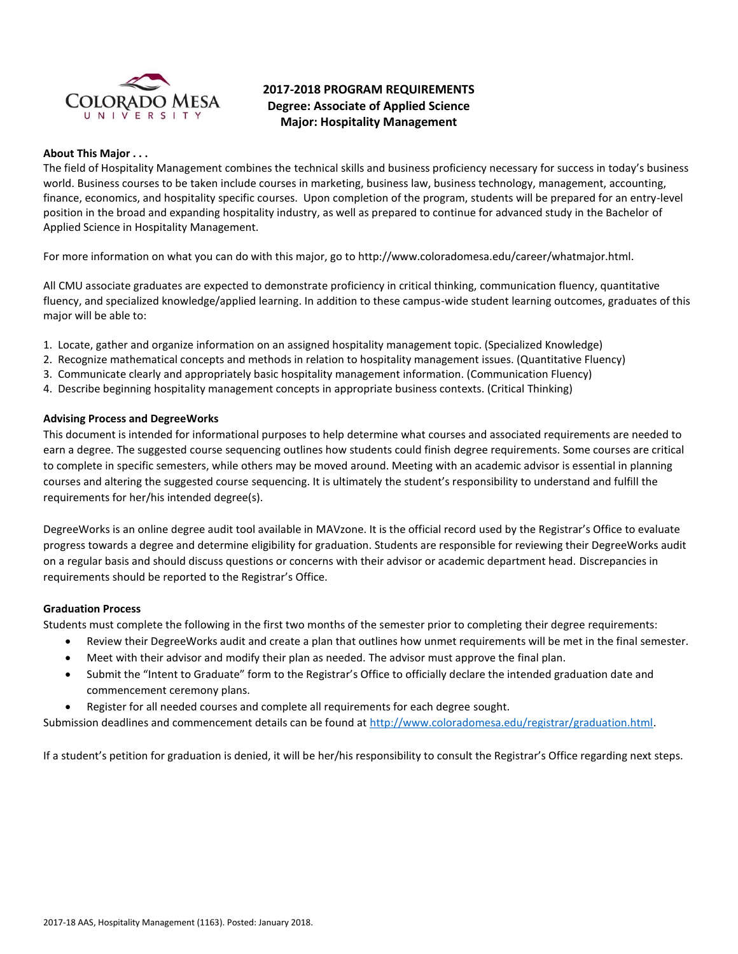

# **2017-2018 PROGRAM REQUIREMENTS Degree: Associate of Applied Science Major: Hospitality Management**

#### **About This Major . . .**

The field of Hospitality Management combines the technical skills and business proficiency necessary for success in today's business world. Business courses to be taken include courses in marketing, business law, business technology, management, accounting, finance, economics, and hospitality specific courses. Upon completion of the program, students will be prepared for an entry-level position in the broad and expanding hospitality industry, as well as prepared to continue for advanced study in the Bachelor of Applied Science in Hospitality Management.

For more information on what you can do with this major, go to http://www.coloradomesa.edu/career/whatmajor.html.

All CMU associate graduates are expected to demonstrate proficiency in critical thinking, communication fluency, quantitative fluency, and specialized knowledge/applied learning. In addition to these campus-wide student learning outcomes, graduates of this major will be able to:

- 1. Locate, gather and organize information on an assigned hospitality management topic. (Specialized Knowledge)
- 2. Recognize mathematical concepts and methods in relation to hospitality management issues. (Quantitative Fluency)
- 3. Communicate clearly and appropriately basic hospitality management information. (Communication Fluency)
- 4. Describe beginning hospitality management concepts in appropriate business contexts. (Critical Thinking)

#### **Advising Process and DegreeWorks**

This document is intended for informational purposes to help determine what courses and associated requirements are needed to earn a degree. The suggested course sequencing outlines how students could finish degree requirements. Some courses are critical to complete in specific semesters, while others may be moved around. Meeting with an academic advisor is essential in planning courses and altering the suggested course sequencing. It is ultimately the student's responsibility to understand and fulfill the requirements for her/his intended degree(s).

DegreeWorks is an online degree audit tool available in MAVzone. It is the official record used by the Registrar's Office to evaluate progress towards a degree and determine eligibility for graduation. Students are responsible for reviewing their DegreeWorks audit on a regular basis and should discuss questions or concerns with their advisor or academic department head. Discrepancies in requirements should be reported to the Registrar's Office.

#### **Graduation Process**

Students must complete the following in the first two months of the semester prior to completing their degree requirements:

- Review their DegreeWorks audit and create a plan that outlines how unmet requirements will be met in the final semester.
- Meet with their advisor and modify their plan as needed. The advisor must approve the final plan.
- Submit the "Intent to Graduate" form to the Registrar's Office to officially declare the intended graduation date and commencement ceremony plans.
- Register for all needed courses and complete all requirements for each degree sought.

Submission deadlines and commencement details can be found at [http://www.coloradomesa.edu/registrar/graduation.html.](http://www.coloradomesa.edu/registrar/graduation.html)

If a student's petition for graduation is denied, it will be her/his responsibility to consult the Registrar's Office regarding next steps.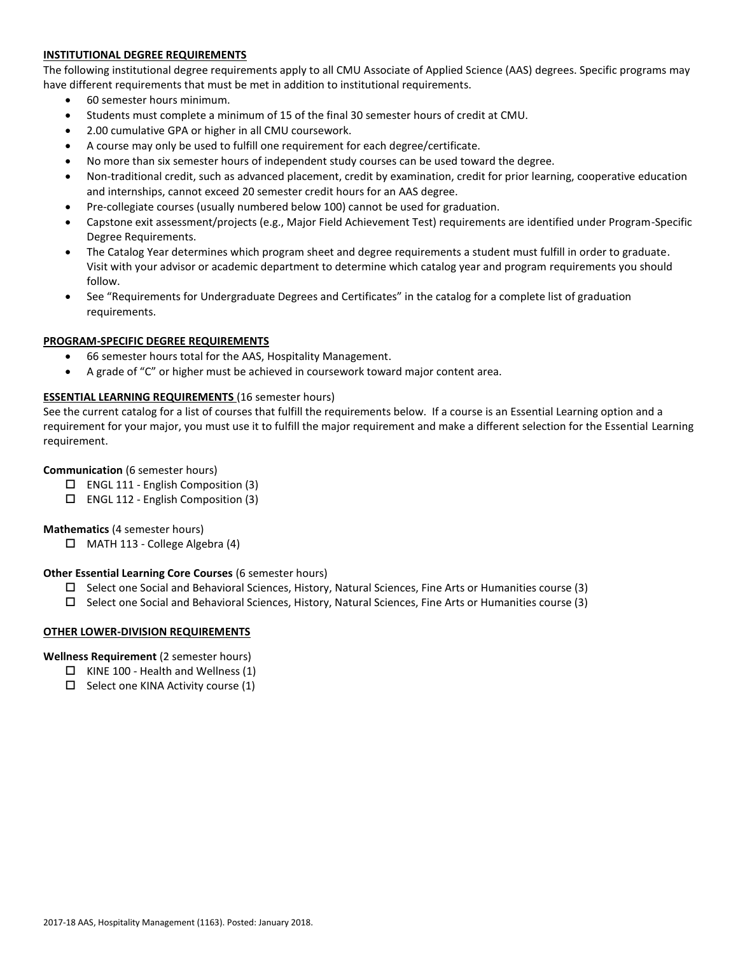# **INSTITUTIONAL DEGREE REQUIREMENTS**

The following institutional degree requirements apply to all CMU Associate of Applied Science (AAS) degrees. Specific programs may have different requirements that must be met in addition to institutional requirements.

- 60 semester hours minimum.
- Students must complete a minimum of 15 of the final 30 semester hours of credit at CMU.
- 2.00 cumulative GPA or higher in all CMU coursework.
- A course may only be used to fulfill one requirement for each degree/certificate.
- No more than six semester hours of independent study courses can be used toward the degree.
- Non-traditional credit, such as advanced placement, credit by examination, credit for prior learning, cooperative education and internships, cannot exceed 20 semester credit hours for an AAS degree.
- Pre-collegiate courses (usually numbered below 100) cannot be used for graduation.
- Capstone exit assessment/projects (e.g., Major Field Achievement Test) requirements are identified under Program-Specific Degree Requirements.
- The Catalog Year determines which program sheet and degree requirements a student must fulfill in order to graduate. Visit with your advisor or academic department to determine which catalog year and program requirements you should follow.
- See "Requirements for Undergraduate Degrees and Certificates" in the catalog for a complete list of graduation requirements.

## **PROGRAM-SPECIFIC DEGREE REQUIREMENTS**

- 66 semester hours total for the AAS, Hospitality Management.
- A grade of "C" or higher must be achieved in coursework toward major content area.

## **ESSENTIAL LEARNING REQUIREMENTS** (16 semester hours)

See the current catalog for a list of courses that fulfill the requirements below. If a course is an Essential Learning option and a requirement for your major, you must use it to fulfill the major requirement and make a different selection for the Essential Learning requirement.

## **Communication** (6 semester hours)

- $\Box$  ENGL 111 English Composition (3)
- $\square$  ENGL 112 English Composition (3)

#### **Mathematics** (4 semester hours)

 $\Box$  MATH 113 - College Algebra (4)

#### **Other Essential Learning Core Courses** (6 semester hours)

- $\square$  Select one Social and Behavioral Sciences, History, Natural Sciences, Fine Arts or Humanities course (3)
- Select one Social and Behavioral Sciences, History, Natural Sciences, Fine Arts or Humanities course (3)

#### **OTHER LOWER-DIVISION REQUIREMENTS**

**Wellness Requirement** (2 semester hours)

- $\Box$  KINE 100 Health and Wellness (1)
- $\square$  Select one KINA Activity course (1)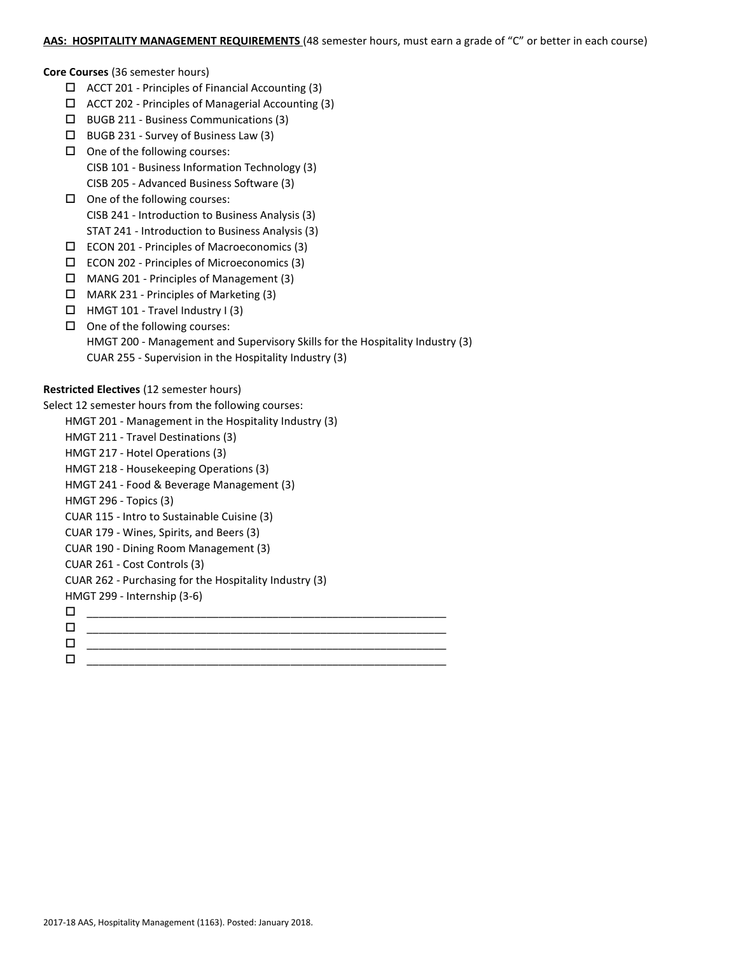## AAS: HOSPITALITY MANAGEMENT REQUIREMENTS (48 semester hours, must earn a grade of "C" or better in each course)

#### **Core Courses** (36 semester hours)

- $\Box$  ACCT 201 Principles of Financial Accounting (3)
- $\Box$  ACCT 202 Principles of Managerial Accounting (3)
- BUGB 211 Business Communications (3)
- $\Box$  BUGB 231 Survey of Business Law (3)
- $\Box$  One of the following courses: CISB 101 - Business Information Technology (3)
	- CISB 205 Advanced Business Software (3)
- $\Box$  One of the following courses: CISB 241 - Introduction to Business Analysis (3) STAT 241 - Introduction to Business Analysis (3)
- $\square$  ECON 201 Principles of Macroeconomics (3)
- ECON 202 Principles of Microeconomics (3)
- MANG 201 Principles of Management (3)
- $\Box$  MARK 231 Principles of Marketing (3)
- $\Box$  HMGT 101 Travel Industry I (3)
- $\Box$  One of the following courses: HMGT 200 - Management and Supervisory Skills for the Hospitality Industry (3) CUAR 255 - Supervision in the Hospitality Industry (3)

# **Restricted Electives** (12 semester hours)

Select 12 semester hours from the following courses:

- HMGT 201 Management in the Hospitality Industry (3)
	- HMGT 211 Travel Destinations (3)
	- HMGT 217 Hotel Operations (3)
	- HMGT 218 Housekeeping Operations (3)
	- HMGT 241 Food & Beverage Management (3)
	- HMGT 296 Topics (3)
	- CUAR 115 Intro to Sustainable Cuisine (3)
	- CUAR 179 Wines, Spirits, and Beers (3)
	- CUAR 190 Dining Room Management (3)
	- CUAR 261 Cost Controls (3)
	- CUAR 262 Purchasing for the Hospitality Industry (3)
	- HMGT 299 Internship (3-6)
- \_\_\_\_\_\_\_\_\_\_\_\_\_\_\_\_\_\_\_\_\_\_\_\_\_\_\_\_\_\_\_\_\_\_\_\_\_\_\_\_\_\_\_\_\_\_\_\_\_\_\_\_\_\_\_\_\_\_\_\_ \_\_\_\_\_\_\_\_\_\_\_\_\_\_\_\_\_\_\_\_\_\_\_\_\_\_\_\_\_\_\_\_\_\_\_\_\_\_\_\_\_\_\_\_\_\_\_\_\_\_\_\_\_\_\_\_\_\_\_\_ \_\_\_\_\_\_\_\_\_\_\_\_\_\_\_\_\_\_\_\_\_\_\_\_\_\_\_\_\_\_\_\_\_\_\_\_\_\_\_\_\_\_\_\_\_\_\_\_\_\_\_\_\_\_\_\_\_\_\_\_ \_\_\_\_\_\_\_\_\_\_\_\_\_\_\_\_\_\_\_\_\_\_\_\_\_\_\_\_\_\_\_\_\_\_\_\_\_\_\_\_\_\_\_\_\_\_\_\_\_\_\_\_\_\_\_\_\_\_\_\_